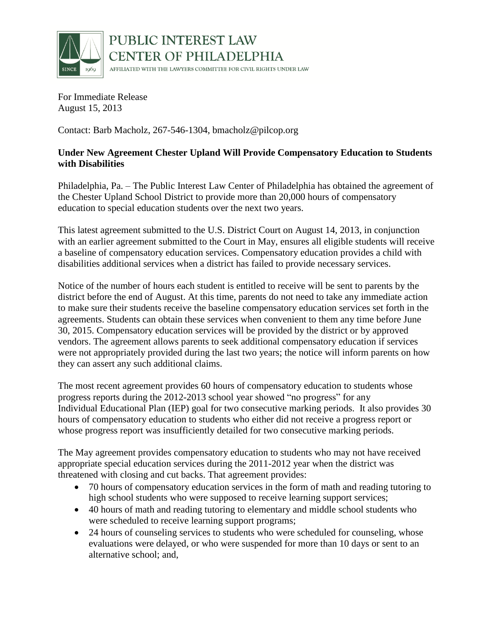

PUBLIC INTEREST LAW **CENTER OF PHILADELPHIA** AFFILIATED WITH THE LAWYERS COMMITTEE FOR CIVIL RIGHTS UNDER LAW

For Immediate Release August 15, 2013

Contact: Barb Macholz, 267-546-1304, bmacholz@pilcop.org

## **Under New Agreement Chester Upland Will Provide Compensatory Education to Students with Disabilities**

Philadelphia, Pa. – The Public Interest Law Center of Philadelphia has obtained the agreement of the Chester Upland School District to provide more than 20,000 hours of compensatory education to special education students over the next two years.

This latest agreement submitted to the U.S. District Court on August 14, 2013, in conjunction with an earlier agreement submitted to the Court in May, ensures all eligible students will receive a baseline of compensatory education services. Compensatory education provides a child with disabilities additional services when a district has failed to provide necessary services.

Notice of the number of hours each student is entitled to receive will be sent to parents by the district before the end of August. At this time, parents do not need to take any immediate action to make sure their students receive the baseline compensatory education services set forth in the agreements. Students can obtain these services when convenient to them any time before June 30, 2015. Compensatory education services will be provided by the district or by approved vendors. The agreement allows parents to seek additional compensatory education if services were not appropriately provided during the last two years; the notice will inform parents on how they can assert any such additional claims.

The most recent agreement provides 60 hours of compensatory education to students whose progress reports during the 2012-2013 school year showed "no progress" for any Individual Educational Plan (IEP) goal for two consecutive marking periods. It also provides 30 hours of compensatory education to students who either did not receive a progress report or whose progress report was insufficiently detailed for two consecutive marking periods.

The May agreement provides compensatory education to students who may not have received appropriate special education services during the 2011-2012 year when the district was threatened with closing and cut backs. That agreement provides:

- 70 hours of compensatory education services in the form of math and reading tutoring to high school students who were supposed to receive learning support services;
- 40 hours of math and reading tutoring to elementary and middle school students who were scheduled to receive learning support programs;
- 24 hours of counseling services to students who were scheduled for counseling, whose evaluations were delayed, or who were suspended for more than 10 days or sent to an alternative school; and,